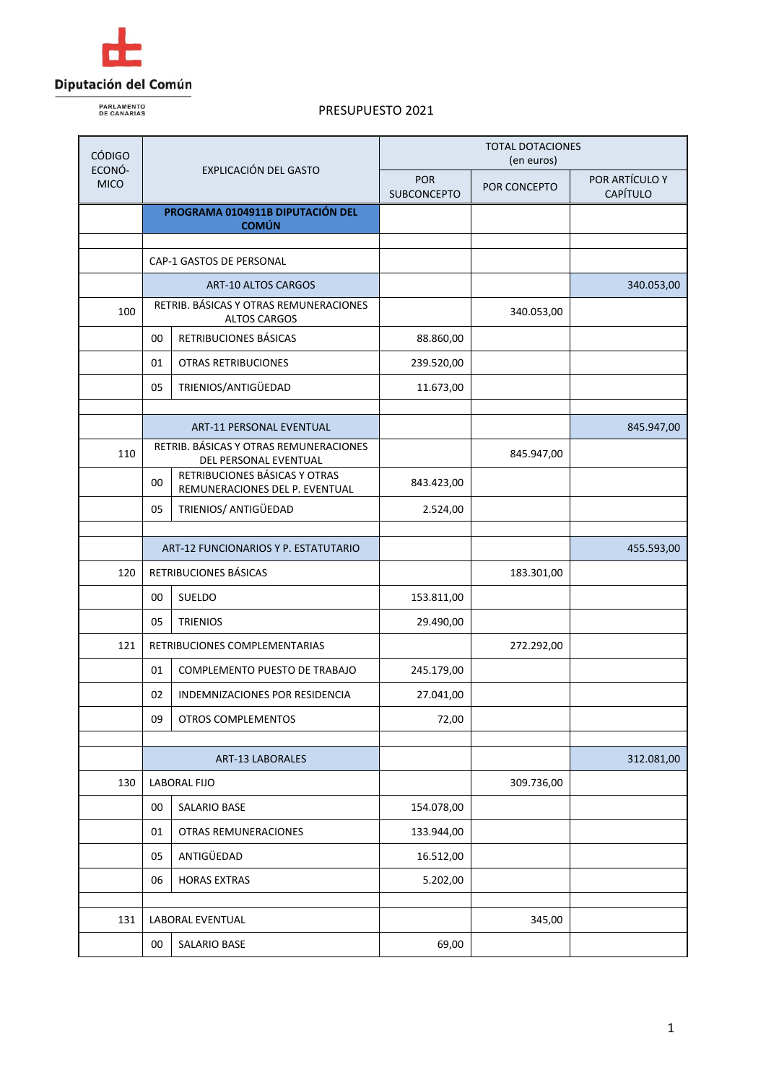

**PARLAMENTO**<br>DE CANARIAS

| <b>CÓDIGO</b><br>ECONÓ-<br><b>MICO</b> | EXPLICACIÓN DEL GASTO                            |                                                                 | <b>TOTAL DOTACIONES</b><br>(en euros) |              |                            |
|----------------------------------------|--------------------------------------------------|-----------------------------------------------------------------|---------------------------------------|--------------|----------------------------|
|                                        |                                                  |                                                                 | <b>POR</b><br><b>SUBCONCEPTO</b>      | POR CONCEPTO | POR ARTÍCULO Y<br>CAPÍTULO |
|                                        | PROGRAMA 0104911B DIPUTACIÓN DEL<br><b>COMÚN</b> |                                                                 |                                       |              |                            |
|                                        | CAP-1 GASTOS DE PERSONAL                         |                                                                 |                                       |              |                            |
|                                        |                                                  | <b>ART-10 ALTOS CARGOS</b>                                      |                                       |              | 340.053,00                 |
| 100                                    |                                                  | RETRIB. BÁSICAS Y OTRAS REMUNERACIONES<br><b>ALTOS CARGOS</b>   |                                       | 340.053,00   |                            |
|                                        | 00                                               | RETRIBUCIONES BÁSICAS                                           | 88.860,00                             |              |                            |
|                                        | 01                                               | <b>OTRAS RETRIBUCIONES</b>                                      | 239.520,00                            |              |                            |
|                                        | 05                                               | TRIENIOS/ANTIGÜEDAD                                             | 11.673,00                             |              |                            |
|                                        |                                                  | ART-11 PERSONAL EVENTUAL                                        |                                       |              | 845.947,00                 |
| 110                                    |                                                  | RETRIB. BÁSICAS Y OTRAS REMUNERACIONES<br>DEL PERSONAL EVENTUAL |                                       | 845.947,00   |                            |
|                                        | 00                                               | RETRIBUCIONES BÁSICAS Y OTRAS<br>REMUNERACIONES DEL P. EVENTUAL | 843.423,00                            |              |                            |
|                                        | 05                                               | TRIENIOS/ ANTIGÜEDAD                                            | 2.524,00                              |              |                            |
|                                        |                                                  |                                                                 |                                       |              |                            |
|                                        | ART-12 FUNCIONARIOS Y P. ESTATUTARIO             |                                                                 |                                       |              | 455.593,00                 |
| 120                                    |                                                  | RETRIBUCIONES BÁSICAS                                           |                                       | 183.301,00   |                            |
|                                        | 00                                               | <b>SUELDO</b>                                                   | 153.811,00                            |              |                            |
|                                        | 05                                               | <b>TRIENIOS</b>                                                 | 29.490,00                             |              |                            |
| 121                                    | RETRIBUCIONES COMPLEMENTARIAS                    |                                                                 |                                       | 272.292,00   |                            |
|                                        | 01                                               | COMPLEMENTO PUESTO DE TRABAJO                                   | 245.179,00                            |              |                            |
|                                        | 02                                               | INDEMNIZACIONES POR RESIDENCIA                                  | 27.041,00                             |              |                            |
|                                        | 09                                               | OTROS COMPLEMENTOS                                              | 72,00                                 |              |                            |
|                                        |                                                  |                                                                 |                                       |              | 312.081,00                 |
| 130                                    | ART-13 LABORALES<br><b>LABORAL FIJO</b>          |                                                                 |                                       | 309.736,00   |                            |
|                                        | 00                                               | SALARIO BASE                                                    | 154.078,00                            |              |                            |
|                                        | 01                                               | OTRAS REMUNERACIONES                                            | 133.944,00                            |              |                            |
|                                        | 05                                               | ANTIGÜEDAD                                                      | 16.512,00                             |              |                            |
|                                        | 06                                               | <b>HORAS EXTRAS</b>                                             | 5.202,00                              |              |                            |
|                                        |                                                  |                                                                 |                                       |              |                            |
| 131                                    |                                                  | LABORAL EVENTUAL                                                |                                       | 345,00       |                            |
|                                        | 00                                               | SALARIO BASE                                                    | 69,00                                 |              |                            |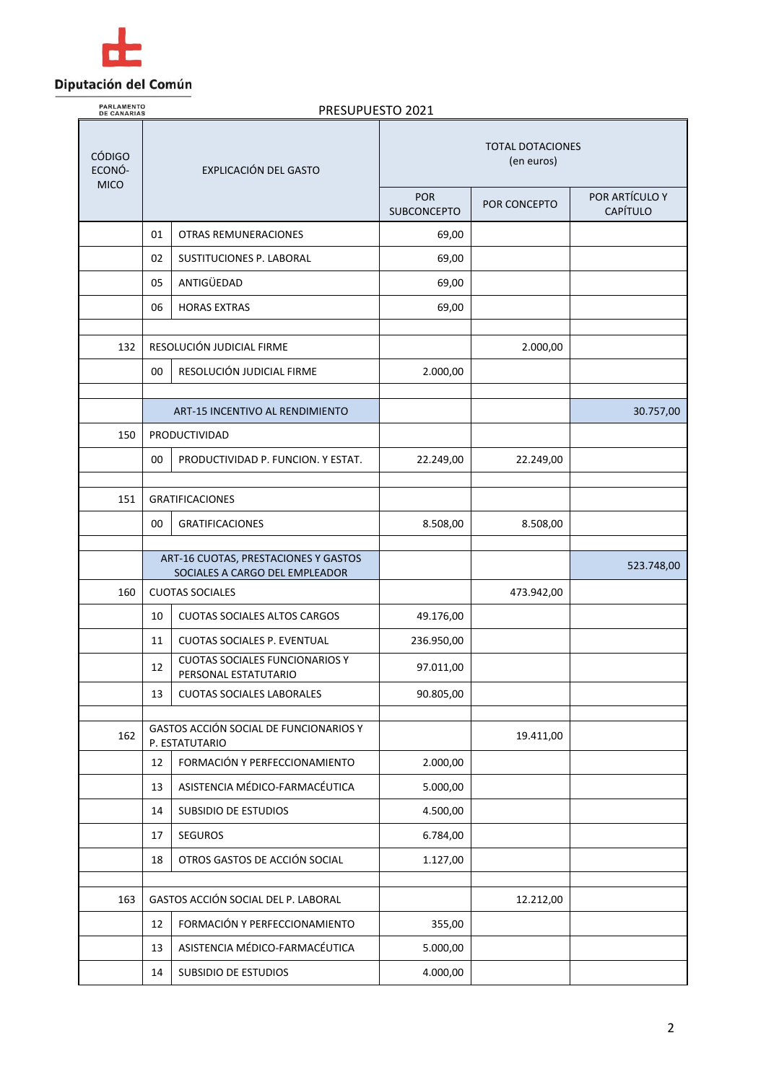

**PARLAMENTO**<br>DE CANARIAS

| <b>CÓDIGO</b><br>ECONÓ- | EXPLICACIÓN DEL GASTO                                                  |                                                               | <b>TOTAL DOTACIONES</b><br>(en euros) |              |                            |
|-------------------------|------------------------------------------------------------------------|---------------------------------------------------------------|---------------------------------------|--------------|----------------------------|
| <b>MICO</b>             |                                                                        |                                                               | <b>POR</b><br><b>SUBCONCEPTO</b>      | POR CONCEPTO | POR ARTÍCULO Y<br>CAPÍTULO |
|                         | 01                                                                     | OTRAS REMUNERACIONES                                          | 69,00                                 |              |                            |
|                         | 02                                                                     | SUSTITUCIONES P. LABORAL                                      | 69,00                                 |              |                            |
|                         | 05                                                                     | ANTIGÜEDAD                                                    | 69,00                                 |              |                            |
|                         | 06                                                                     | <b>HORAS EXTRAS</b>                                           | 69,00                                 |              |                            |
| 132                     |                                                                        | RESOLUCIÓN JUDICIAL FIRME                                     |                                       | 2.000,00     |                            |
|                         | 00                                                                     | RESOLUCIÓN JUDICIAL FIRME                                     | 2.000,00                              |              |                            |
|                         |                                                                        | ART-15 INCENTIVO AL RENDIMIENTO                               |                                       |              | 30.757,00                  |
| 150                     |                                                                        | PRODUCTIVIDAD                                                 |                                       |              |                            |
|                         | 00                                                                     | PRODUCTIVIDAD P. FUNCION. Y ESTAT.                            | 22.249,00                             | 22.249,00    |                            |
|                         |                                                                        |                                                               |                                       |              |                            |
| 151                     |                                                                        | <b>GRATIFICACIONES</b>                                        |                                       |              |                            |
|                         | 00                                                                     | <b>GRATIFICACIONES</b>                                        | 8.508,00                              | 8.508,00     |                            |
|                         | ART-16 CUOTAS, PRESTACIONES Y GASTOS<br>SOCIALES A CARGO DEL EMPLEADOR |                                                               |                                       |              | 523.748,00                 |
| 160                     |                                                                        | <b>CUOTAS SOCIALES</b>                                        |                                       | 473.942,00   |                            |
|                         | 10                                                                     | <b>CUOTAS SOCIALES ALTOS CARGOS</b>                           | 49.176,00                             |              |                            |
|                         | 11                                                                     | CUOTAS SOCIALES P. EVENTUAL                                   | 236.950,00                            |              |                            |
|                         | 12                                                                     | <b>CUOTAS SOCIALES FUNCIONARIOS Y</b><br>PERSONAL ESTATUTARIO | 97.011,00                             |              |                            |
|                         | 13                                                                     | <b>CUOTAS SOCIALES LABORALES</b>                              | 90.805,00                             |              |                            |
| 162                     | GASTOS ACCIÓN SOCIAL DE FUNCIONARIOS Y<br>P. ESTATUTARIO               |                                                               |                                       | 19.411,00    |                            |
|                         | 12                                                                     | FORMACIÓN Y PERFECCIONAMIENTO                                 | 2.000,00                              |              |                            |
|                         | 13                                                                     | ASISTENCIA MÉDICO-FARMACÉUTICA                                | 5.000,00                              |              |                            |
|                         | 14                                                                     | SUBSIDIO DE ESTUDIOS                                          | 4.500,00                              |              |                            |
|                         | 17                                                                     | <b>SEGUROS</b>                                                | 6.784,00                              |              |                            |
|                         | 18                                                                     | OTROS GASTOS DE ACCIÓN SOCIAL                                 | 1.127,00                              |              |                            |
| 163                     | GASTOS ACCIÓN SOCIAL DEL P. LABORAL                                    |                                                               |                                       | 12.212,00    |                            |
|                         | 12                                                                     | FORMACIÓN Y PERFECCIONAMIENTO                                 | 355,00                                |              |                            |
|                         | 13                                                                     | ASISTENCIA MÉDICO-FARMACÉUTICA                                | 5.000,00                              |              |                            |
|                         | 14                                                                     | SUBSIDIO DE ESTUDIOS                                          | 4.000,00                              |              |                            |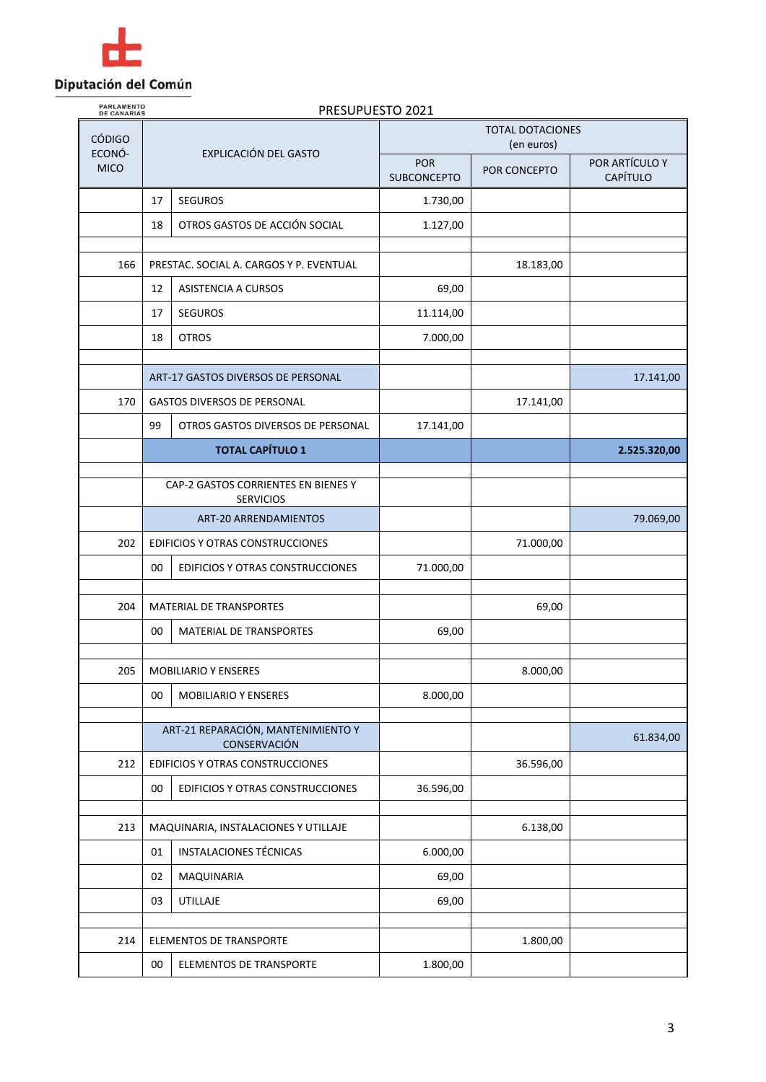

| <b>PARLAMENTO</b><br>DE CANARIAS |    | PRESUPUESTO 2021                                        |                                       |              |                            |  |
|----------------------------------|----|---------------------------------------------------------|---------------------------------------|--------------|----------------------------|--|
| <b>CÓDIGO</b><br>ECONÓ-          |    | EXPLICACIÓN DEL GASTO                                   | <b>TOTAL DOTACIONES</b><br>(en euros) |              |                            |  |
| <b>MICO</b>                      |    |                                                         | <b>POR</b><br><b>SUBCONCEPTO</b>      | POR CONCEPTO | POR ARTÍCULO Y<br>CAPÍTULO |  |
|                                  | 17 | <b>SEGUROS</b>                                          | 1.730,00                              |              |                            |  |
|                                  | 18 | OTROS GASTOS DE ACCIÓN SOCIAL                           | 1.127,00                              |              |                            |  |
| 166                              |    | PRESTAC. SOCIAL A. CARGOS Y P. EVENTUAL                 |                                       | 18.183,00    |                            |  |
|                                  | 12 | ASISTENCIA A CURSOS                                     | 69,00                                 |              |                            |  |
|                                  | 17 | <b>SEGUROS</b>                                          | 11.114,00                             |              |                            |  |
|                                  | 18 | <b>OTROS</b>                                            | 7.000,00                              |              |                            |  |
|                                  |    | ART-17 GASTOS DIVERSOS DE PERSONAL                      |                                       |              | 17.141,00                  |  |
| 170                              |    | <b>GASTOS DIVERSOS DE PERSONAL</b>                      |                                       | 17.141,00    |                            |  |
|                                  | 99 | OTROS GASTOS DIVERSOS DE PERSONAL                       | 17.141,00                             |              |                            |  |
|                                  |    | <b>TOTAL CAPÍTULO 1</b>                                 |                                       |              | 2.525.320,00               |  |
|                                  |    | CAP-2 GASTOS CORRIENTES EN BIENES Y<br><b>SERVICIOS</b> |                                       |              |                            |  |
|                                  |    | <b>ART-20 ARRENDAMIENTOS</b>                            |                                       |              | 79.069,00                  |  |
| 202                              |    | EDIFICIOS Y OTRAS CONSTRUCCIONES                        |                                       | 71.000,00    |                            |  |
|                                  | 00 | EDIFICIOS Y OTRAS CONSTRUCCIONES                        | 71.000,00                             |              |                            |  |
| 204                              |    | MATERIAL DE TRANSPORTES                                 |                                       | 69,00        |                            |  |
|                                  | 00 | <b>MATERIAL DE TRANSPORTES</b>                          | 69,00                                 |              |                            |  |
| 205                              |    | <b>MOBILIARIO Y ENSERES</b>                             |                                       | 8.000,00     |                            |  |
|                                  | 00 | <b>MOBILIARIO Y ENSERES</b>                             | 8.000,00                              |              |                            |  |
|                                  |    |                                                         |                                       |              |                            |  |
|                                  |    | ART-21 REPARACIÓN, MANTENIMIENTO Y<br>CONSERVACIÓN      |                                       |              | 61.834,00                  |  |
| 212                              |    | EDIFICIOS Y OTRAS CONSTRUCCIONES                        |                                       | 36.596,00    |                            |  |
|                                  | 00 | EDIFICIOS Y OTRAS CONSTRUCCIONES                        | 36.596,00                             |              |                            |  |
| 213                              |    | MAQUINARIA, INSTALACIONES Y UTILLAJE                    |                                       | 6.138,00     |                            |  |
|                                  | 01 | <b>INSTALACIONES TÉCNICAS</b>                           | 6.000,00                              |              |                            |  |
|                                  | 02 | MAQUINARIA                                              | 69,00                                 |              |                            |  |
|                                  | 03 | UTILLAJE                                                | 69,00                                 |              |                            |  |
| 214                              |    | ELEMENTOS DE TRANSPORTE                                 |                                       | 1.800,00     |                            |  |
|                                  | 00 | ELEMENTOS DE TRANSPORTE                                 | 1.800,00                              |              |                            |  |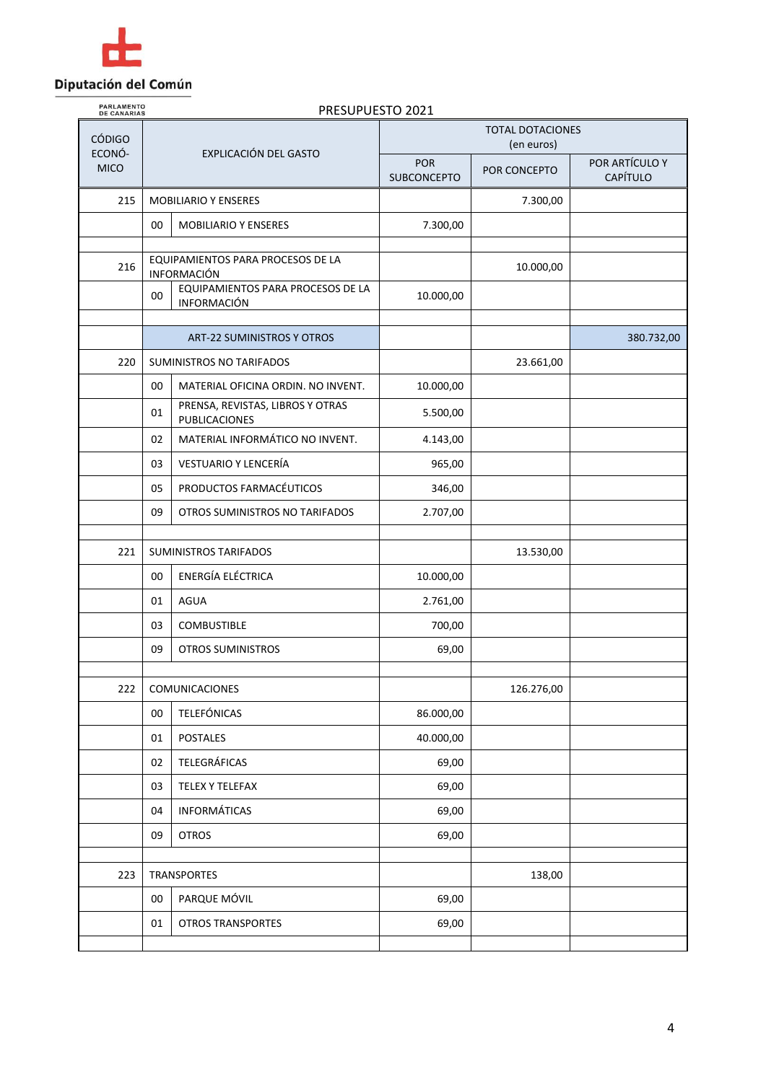

| <b>PARLAMENTO</b><br><b>DE CANARIAS</b> | PRESUPUESTO 2021 |                                                         |                                       |              |                                   |  |
|-----------------------------------------|------------------|---------------------------------------------------------|---------------------------------------|--------------|-----------------------------------|--|
| <b>CÓDIGO</b>                           |                  |                                                         | <b>TOTAL DOTACIONES</b><br>(en euros) |              |                                   |  |
| ECONÓ-<br><b>MICO</b>                   |                  | EXPLICACIÓN DEL GASTO                                   | POR<br><b>SUBCONCEPTO</b>             | POR CONCEPTO | POR ARTÍCULO Y<br><b>CAPÍTULO</b> |  |
| 215                                     |                  | <b>MOBILIARIO Y ENSERES</b>                             |                                       | 7.300,00     |                                   |  |
|                                         | 00               | <b>MOBILIARIO Y ENSERES</b>                             | 7.300,00                              |              |                                   |  |
| 216                                     |                  | EQUIPAMIENTOS PARA PROCESOS DE LA<br><b>INFORMACIÓN</b> |                                       | 10.000,00    |                                   |  |
|                                         | 00               | EQUIPAMIENTOS PARA PROCESOS DE LA<br><b>INFORMACIÓN</b> | 10.000,00                             |              |                                   |  |
|                                         |                  | <b>ART-22 SUMINISTROS Y OTROS</b>                       |                                       |              | 380.732,00                        |  |
| 220                                     |                  | <b>SUMINISTROS NO TARIFADOS</b>                         |                                       | 23.661,00    |                                   |  |
|                                         | 00               | MATERIAL OFICINA ORDIN. NO INVENT.                      | 10.000,00                             |              |                                   |  |
|                                         | 01               | PRENSA, REVISTAS, LIBROS Y OTRAS<br>PUBLICACIONES       | 5.500,00                              |              |                                   |  |
|                                         | 02               | MATERIAL INFORMÁTICO NO INVENT.                         | 4.143,00                              |              |                                   |  |
|                                         | 03               | VESTUARIO Y LENCERÍA                                    | 965,00                                |              |                                   |  |
|                                         | 05               | PRODUCTOS FARMACÉUTICOS                                 | 346,00                                |              |                                   |  |
|                                         | 09               | OTROS SUMINISTROS NO TARIFADOS                          | 2.707,00                              |              |                                   |  |
| 221                                     |                  | SUMINISTROS TARIFADOS                                   |                                       | 13.530,00    |                                   |  |
|                                         | 00               | ENERGÍA ELÉCTRICA                                       | 10.000,00                             |              |                                   |  |
|                                         | 01               | <b>AGUA</b>                                             | 2.761,00                              |              |                                   |  |
|                                         | 03               | <b>COMBUSTIBLE</b>                                      | 700,00                                |              |                                   |  |
|                                         | 09               | <b>OTROS SUMINISTROS</b>                                | 69,00                                 |              |                                   |  |
| 222                                     |                  | COMUNICACIONES                                          |                                       | 126.276,00   |                                   |  |
|                                         | 00               | <b>TELEFÓNICAS</b>                                      | 86.000,00                             |              |                                   |  |
|                                         | 01               | <b>POSTALES</b>                                         | 40.000,00                             |              |                                   |  |
|                                         | 02               | <b>TELEGRÁFICAS</b>                                     | 69,00                                 |              |                                   |  |
|                                         | 03               | <b>TELEX Y TELEFAX</b>                                  | 69,00                                 |              |                                   |  |
|                                         | 04               | <b>INFORMÁTICAS</b>                                     | 69,00                                 |              |                                   |  |
|                                         | 09               | <b>OTROS</b>                                            | 69,00                                 |              |                                   |  |
|                                         |                  |                                                         |                                       |              |                                   |  |
| 223                                     |                  | <b>TRANSPORTES</b>                                      |                                       | 138,00       |                                   |  |
|                                         | $00\,$           | PARQUE MÓVIL                                            | 69,00                                 |              |                                   |  |
|                                         | 01               | <b>OTROS TRANSPORTES</b>                                | 69,00                                 |              |                                   |  |
|                                         |                  |                                                         |                                       |              |                                   |  |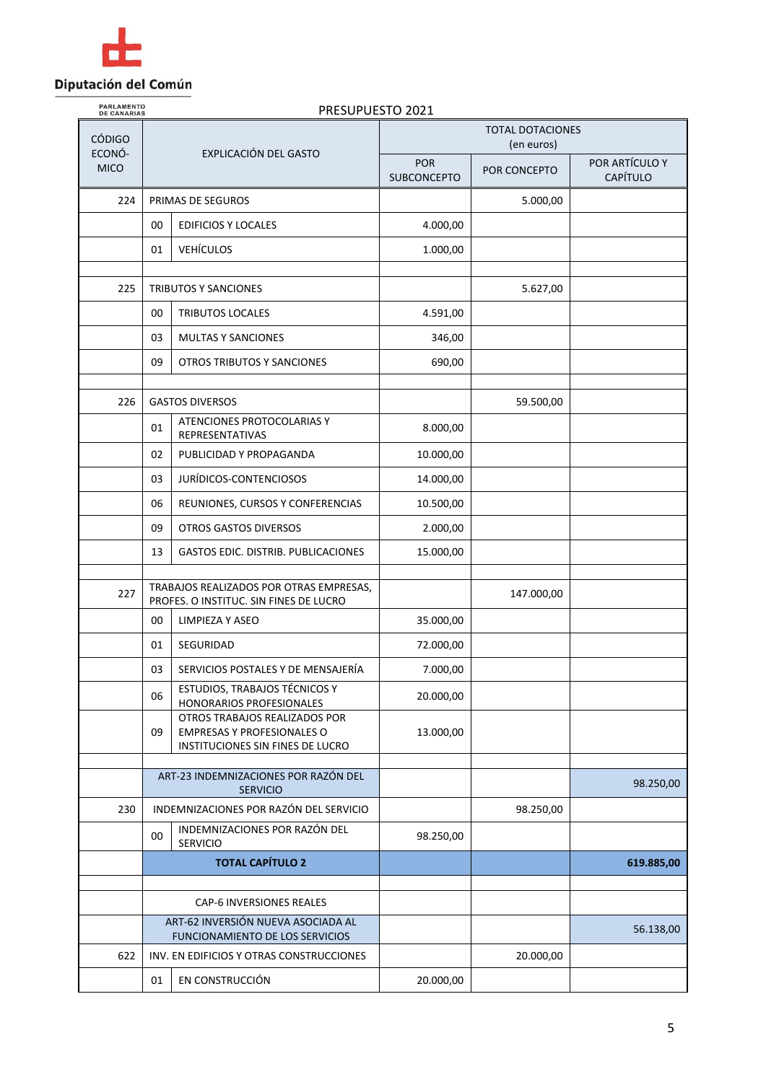

| <b>PARLAMENTO</b><br>PRESUPUESTO 2021<br><b>DE CANARIAS</b> |    |                                                                                                                                    |                                       |              |                                   |
|-------------------------------------------------------------|----|------------------------------------------------------------------------------------------------------------------------------------|---------------------------------------|--------------|-----------------------------------|
| <b>CÓDIGO</b><br>ECONÓ-                                     |    |                                                                                                                                    | <b>TOTAL DOTACIONES</b><br>(en euros) |              |                                   |
| <b>MICO</b>                                                 |    | EXPLICACIÓN DEL GASTO                                                                                                              | <b>POR</b><br><b>SUBCONCEPTO</b>      | POR CONCEPTO | POR ARTÍCULO Y<br><b>CAPÍTULO</b> |
| 224                                                         |    | PRIMAS DE SEGUROS                                                                                                                  |                                       | 5.000,00     |                                   |
|                                                             | 00 | <b>EDIFICIOS Y LOCALES</b>                                                                                                         | 4.000,00                              |              |                                   |
|                                                             | 01 | <b>VEHÍCULOS</b>                                                                                                                   | 1.000,00                              |              |                                   |
|                                                             |    |                                                                                                                                    |                                       |              |                                   |
| 225                                                         |    | <b>TRIBUTOS Y SANCIONES</b>                                                                                                        |                                       | 5.627,00     |                                   |
|                                                             | 00 | TRIBUTOS LOCALES                                                                                                                   | 4.591,00                              |              |                                   |
|                                                             | 03 | <b>MULTAS Y SANCIONES</b>                                                                                                          | 346,00                                |              |                                   |
|                                                             | 09 | OTROS TRIBUTOS Y SANCIONES                                                                                                         | 690,00                                |              |                                   |
| 226                                                         |    | <b>GASTOS DIVERSOS</b>                                                                                                             |                                       | 59.500,00    |                                   |
|                                                             | 01 | ATENCIONES PROTOCOLARIAS Y<br>REPRESENTATIVAS                                                                                      | 8.000,00                              |              |                                   |
|                                                             | 02 | PUBLICIDAD Y PROPAGANDA                                                                                                            | 10.000,00                             |              |                                   |
|                                                             | 03 | JURÍDICOS-CONTENCIOSOS                                                                                                             | 14.000,00                             |              |                                   |
|                                                             | 06 | REUNIONES, CURSOS Y CONFERENCIAS                                                                                                   | 10.500,00                             |              |                                   |
|                                                             | 09 | <b>OTROS GASTOS DIVERSOS</b>                                                                                                       | 2.000,00                              |              |                                   |
|                                                             | 13 | <b>GASTOS EDIC. DISTRIB. PUBLICACIONES</b>                                                                                         | 15.000,00                             |              |                                   |
| 227                                                         |    | TRABAJOS REALIZADOS POR OTRAS EMPRESAS,<br>PROFES. O INSTITUC. SIN FINES DE LUCRO                                                  |                                       | 147.000,00   |                                   |
|                                                             | 00 | <b>LIMPIEZA Y ASEO</b>                                                                                                             | 35.000,00                             |              |                                   |
|                                                             | 01 | SEGURIDAD                                                                                                                          | 72.000,00                             |              |                                   |
|                                                             | 03 | SERVICIOS POSTALES Y DE MENSAJERÍA                                                                                                 | 7.000,00                              |              |                                   |
|                                                             | 06 | ESTUDIOS, TRABAJOS TÉCNICOS Y                                                                                                      | 20.000,00                             |              |                                   |
|                                                             | 09 | HONORARIOS PROFESIONALES<br>OTROS TRABAJOS REALIZADOS POR<br><b>EMPRESAS Y PROFESIONALES O</b><br>INSTITUCIONES SIN FINES DE LUCRO | 13.000,00                             |              |                                   |
|                                                             |    | ART-23 INDEMNIZACIONES POR RAZÓN DEL                                                                                               |                                       |              |                                   |
|                                                             |    | <b>SERVICIO</b>                                                                                                                    |                                       |              | 98.250,00                         |
| 230                                                         |    | INDEMNIZACIONES POR RAZÓN DEL SERVICIO                                                                                             |                                       | 98.250,00    |                                   |
|                                                             | 00 | INDEMNIZACIONES POR RAZÓN DEL<br>SERVICIO                                                                                          | 98.250,00                             |              |                                   |
|                                                             |    | <b>TOTAL CAPÍTULO 2</b>                                                                                                            |                                       |              | 619.885,00                        |
|                                                             |    | CAP-6 INVERSIONES REALES                                                                                                           |                                       |              |                                   |
|                                                             |    | ART-62 INVERSIÓN NUEVA ASOCIADA AL<br>FUNCIONAMIENTO DE LOS SERVICIOS                                                              |                                       |              | 56.138,00                         |
| 622                                                         |    | INV. EN EDIFICIOS Y OTRAS CONSTRUCCIONES                                                                                           |                                       | 20.000,00    |                                   |
|                                                             | 01 | EN CONSTRUCCIÓN                                                                                                                    | 20.000,00                             |              |                                   |